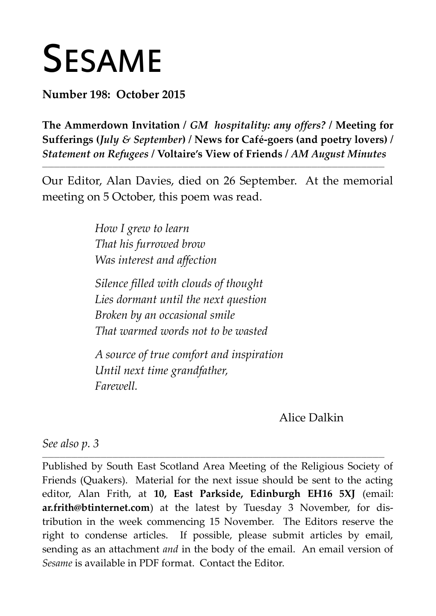# SESAME

**Number 198: October 2015**

**The Ammerdown Invitation /** *GM hospitality: any offers?* **/ Meeting for Sufferings (***July & September***) / News for Café-goers (and poetry lovers) /** *Statement on Refugees* **/ Voltaire's View of Friends /** *AM August Minutes*

Our Editor, Alan Davies, died on 26 September. At the memorial meeting on 5 October, this poem was read.

**\_\_\_\_\_\_\_\_\_\_\_\_\_\_\_\_\_\_\_\_\_\_\_\_\_\_\_\_\_\_\_\_\_\_\_\_\_\_\_\_\_\_\_\_\_\_\_\_\_\_\_\_\_\_\_\_\_\_\_\_\_\_\_\_\_\_\_\_\_\_\_\_\_\_\_\_\_\_\_\_\_\_\_\_\_\_\_\_\_\_\_\_\_\_\_\_\_\_\_\_\_\_\_\_\_\_\_\_\_\_\_\_\_\_\_\_\_**

*How I grew to learn That his furrowed brow Was interest and affection*

*Silence filled with clouds of thought Lies dormant until the next question Broken by an occasional smile That warmed words not to be wasted*

*A source of true comfort and inspiration Until next time grandfather, Farewell.*

## Alice Dalkin

*See also p. 3*

Published by South East Scotland Area Meeting of the Religious Society of Friends (Quakers). Material for the next issue should be sent to the acting editor, Alan Frith, at **10, East Parkside, Edinburgh EH16 5XJ** (email: **ar.frith@btinternet.com**) at the latest by Tuesday 3 November, for distribution in the week commencing 15 November. The Editors reserve the right to condense articles. If possible, please submit articles by email, sending as an attachment *and* in the body of the email. An email version of *Sesame* is available in PDF format. Contact the Editor.

**\_\_\_\_\_\_\_\_\_\_\_\_\_\_\_\_\_\_\_\_\_\_\_\_\_\_\_\_\_\_\_\_\_\_\_\_\_\_\_\_\_\_\_\_\_\_\_\_\_\_\_\_\_\_\_\_\_\_\_\_\_\_\_\_\_\_\_\_\_\_\_\_\_\_\_\_\_\_\_\_\_\_\_\_\_\_\_\_\_\_\_\_\_\_\_\_\_\_\_\_\_\_\_\_\_\_\_\_\_\_\_\_\_\_\_\_\_**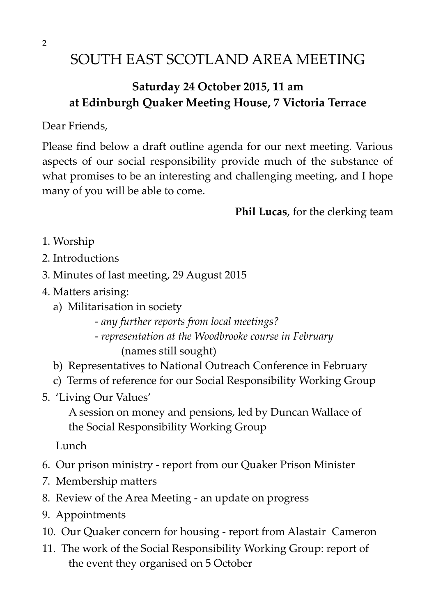## SOUTH EAST SCOTLAND AREA MEETING

## **Saturday 24 October 2015, 11 am at Edinburgh Quaker Meeting House, 7 Victoria Terrace**

Dear Friends,

Please find below a draft outline agenda for our next meeting. Various aspects of our social responsibility provide much of the substance of what promises to be an interesting and challenging meeting, and I hope many of you will be able to come.

**Phil Lucas**, for the clerking team

- 1. Worship
- 2. Introductions
- 3. Minutes of last meeting, 29 August 2015
- 4. Matters arising:
	- a) Militarisation in society
		- *any further reports from local meetings?*
		- - *representation at the Woodbrooke course in February* (names still sought)
	- b) Representatives to National Outreach Conference in February
	- c) Terms of reference for our Social Responsibility Working Group
- 5. 'Living Our Values'
	- A session on money and pensions, led by Duncan Wallace of the Social Responsibility Working Group

Lunch

- 6. Our prison ministry report from our Quaker Prison Minister
- 7. Membership matters
- 8. Review of the Area Meeting an update on progress
- 9. Appointments
- 10. Our Quaker concern for housing report from Alastair Cameron
- 11. The work of the Social Responsibility Working Group: report of the event they organised on 5 October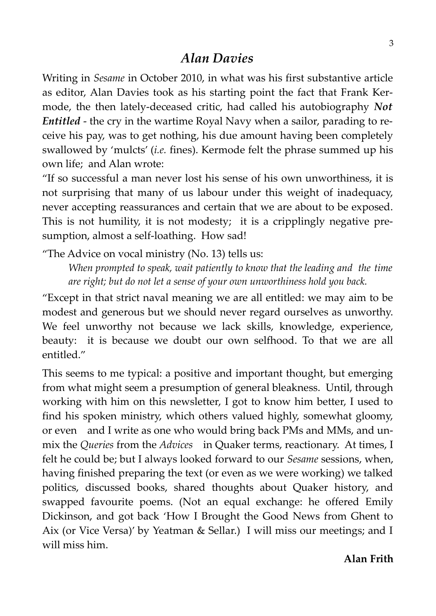## *Alan Davies*

Writing in *Sesame* in October 2010, in what was his first substantive article as editor, Alan Davies took as his starting point the fact that Frank Kermode, the then lately-deceased critic, had called his autobiography *Not Entitled* - the cry in the wartime Royal Navy when a sailor, parading to receive his pay, was to get nothing, his due amount having been completely swallowed by 'mulcts' (*i.e.* fines). Kermode felt the phrase summed up his own life; and Alan wrote:

"If so successful a man never lost his sense of his own unworthiness, it is not surprising that many of us labour under this weight of inadequacy, never accepting reassurances and certain that we are about to be exposed. This is not humility, it is not modesty; it is a cripplingly negative presumption, almost a self-loathing. How sad!

"The Advice on vocal ministry (No. 13) tells us:

*When prompted to speak, wait patiently to know that the leading and the time are right; but do not let a sense of your own unworthiness hold you back.*

"Except in that strict naval meaning we are all entitled: we may aim to be modest and generous but we should never regard ourselves as unworthy. We feel unworthy not because we lack skills, knowledge, experience, beauty: it is because we doubt our own selfhood. To that we are all entitled."

This seems to me typical: a positive and important thought, but emerging from what might seem a presumption of general bleakness. Until, through working with him on this newsletter, I got to know him better, I used to find his spoken ministry, which others valued highly, somewhat gloomy, or even—and I write as one who would bring back PMs and MMs, and unmix the *Queries* from the *Advices*—in Quaker terms, reactionary. At times, I felt he could be; but I always looked forward to our *Sesame* sessions, when, having finished preparing the text (or even as we were working) we talked politics, discussed books, shared thoughts about Quaker history, and swapped favourite poems. (Not an equal exchange: he offered Emily Dickinson, and got back 'How I Brought the Good News from Ghent to Aix (or Vice Versa)' by Yeatman & Sellar.) I will miss our meetings; and I will miss him.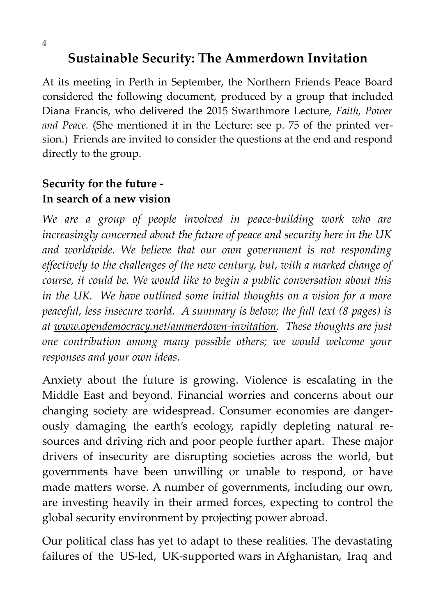At its meeting in Perth in September, the Northern Friends Peace Board considered the following document, produced by a group that included Diana Francis, who delivered the 2015 Swarthmore Lecture, *Faith, Power and Peace.* (She mentioned it in the Lecture: see p. 75 of the printed version.) Friends are invited to consider the questions at the end and respond directly to the group.

**Sustainable Security: The Ammerdown Invitation**

## **Security for the future - In search of a new vision**

*We are a group of people involved in peace-building work who are increasingly concerned about the future of peace and security here in the UK and worldwide. We believe that our own government is not responding effectively to the challenges of the new century, but, with a marked change of course, it could be. We would like to begin a public conversation about this in the UK. We have outlined some initial thoughts on a vision for a more peaceful, less insecure world. A summary is below; the full text (8 pages) is at www.opendemocracy.net/ammerdown-invitation. These thoughts are just one contribution among many possible others; we would welcome your responses and your own ideas.*

Anxiety about the future is growing. Violence is escalating in the Middle East and beyond. Financial worries and concerns about our changing society are widespread. Consumer economies are dangerously damaging the earth's ecology, rapidly depleting natural resources and driving rich and poor people further apart. These major drivers of insecurity are disrupting societies across the world, but governments have been unwilling or unable to respond, or have made matters worse. A number of governments, including our own, are investing heavily in their armed forces, expecting to control the global security environment by projecting power abroad.

Our political class has yet to adapt to these realities. The devastating failures of the US-led, UK-supported wars in Afghanistan, Iraq and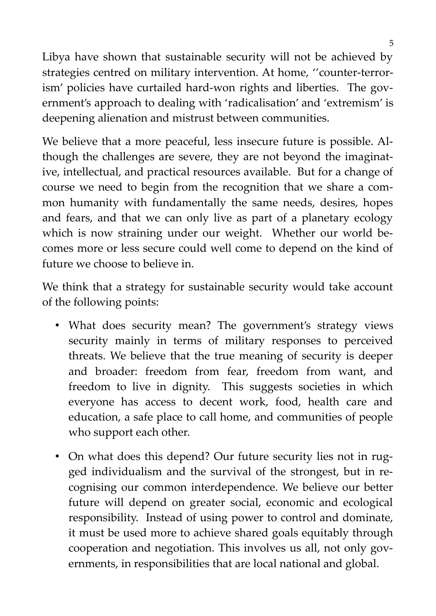Libya have shown that sustainable security will not be achieved by strategies centred on military intervention. At home, ''counter-terrorism' policies have curtailed hard-won rights and liberties. The government's approach to dealing with 'radicalisation' and 'extremism' is deepening alienation and mistrust between communities.

We believe that a more peaceful, less insecure future is possible. Although the challenges are severe, they are not beyond the imaginative, intellectual, and practical resources available. But for a change of course we need to begin from the recognition that we share a common humanity with fundamentally the same needs, desires, hopes and fears, and that we can only live as part of a planetary ecology which is now straining under our weight. Whether our world becomes more or less secure could well come to depend on the kind of future we choose to believe in.

We think that a strategy for sustainable security would take account of the following points:

- What does security mean? The government's strategy views security mainly in terms of military responses to perceived threats. We believe that the true meaning of security is deeper and broader: freedom from fear, freedom from want, and freedom to live in dignity. This suggests societies in which everyone has access to decent work, food, health care and education, a safe place to call home, and communities of people who support each other.
- On what does this depend? Our future security lies not in rugged individualism and the survival of the strongest, but in recognising our common interdependence. We believe our better future will depend on greater social, economic and ecological responsibility. Instead of using power to control and dominate, it must be used more to achieve shared goals equitably through cooperation and negotiation. This involves us all, not only governments, in responsibilities that are local national and global.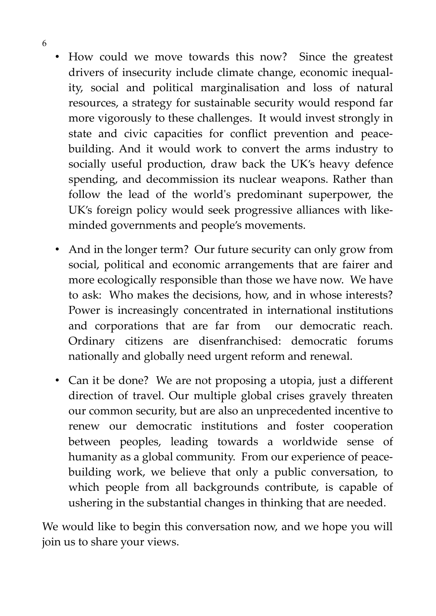- How could we move towards this now? Since the greatest drivers of insecurity include climate change, economic inequality, social and political marginalisation and loss of natural resources, a strategy for sustainable security would respond far more vigorously to these challenges. It would invest strongly in state and civic capacities for conflict prevention and peacebuilding. And it would work to convert the arms industry to socially useful production, draw back the UK's heavy defence spending, and decommission its nuclear weapons. Rather than follow the lead of the world's predominant superpower, the UK's foreign policy would seek progressive alliances with likeminded governments and people's movements.
- And in the longer term? Our future security can only grow from social, political and economic arrangements that are fairer and more ecologically responsible than those we have now. We have to ask: Who makes the decisions, how, and in whose interests? Power is increasingly concentrated in international institutions and corporations that are far from our democratic reach. Ordinary citizens are disenfranchised: democratic forums nationally and globally need urgent reform and renewal.
- Can it be done? We are not proposing a utopia, just a different direction of travel. Our multiple global crises gravely threaten our common security, but are also an unprecedented incentive to renew our democratic institutions and foster cooperation between peoples, leading towards a worldwide sense of humanity as a global community. From our experience of peacebuilding work, we believe that only a public conversation, to which people from all backgrounds contribute, is capable of ushering in the substantial changes in thinking that are needed.

We would like to begin this conversation now, and we hope you will join us to share your views.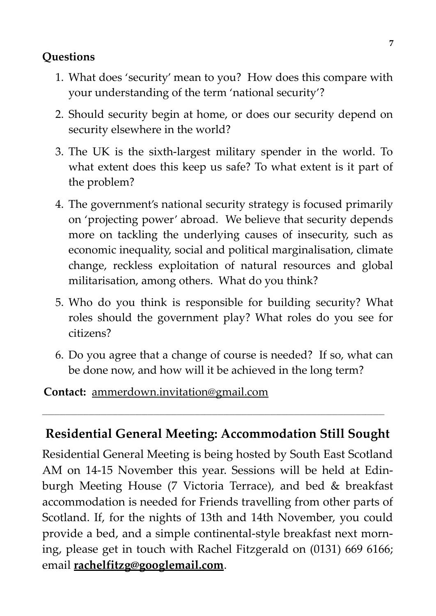## **Questions**

- 1. What does 'security' mean to you? How does this compare with your understanding of the term 'national security'?
- 2. Should security begin at home, or does our security depend on security elsewhere in the world?
- 3. The UK is the sixth-largest military spender in the world. To what extent does this keep us safe? To what extent is it part of the problem?
- 4. The government's national security strategy is focused primarily on 'projecting power' abroad. We believe that security depends more on tackling the underlying causes of insecurity, such as economic inequality, social and political marginalisation, climate change, reckless exploitation of natural resources and global militarisation, among others. What do you think?
- 5. Who do you think is responsible for building security? What roles should the government play? What roles do you see for citizens?
- 6. Do you agree that a change of course is needed? If so, what can be done now, and how will it be achieved in the long term?

#### **Contact:** ammerdown.invitation@gmail.com

## **Residential General Meeting: Accommodation Still Sought**

**\_\_\_\_\_\_\_\_\_\_\_\_\_\_\_\_\_\_\_\_\_\_\_\_\_\_\_\_\_\_\_\_\_\_\_\_\_\_\_\_\_\_\_\_\_\_\_\_\_\_\_\_\_\_\_\_\_\_\_\_\_\_\_\_\_\_\_\_\_\_\_\_\_\_\_\_\_\_\_\_\_\_\_\_\_\_\_\_\_\_\_\_\_\_\_\_\_\_\_\_\_\_\_\_\_\_\_\_\_\_\_\_\_\_\_\_\_**

Residential General Meeting is being hosted by South East Scotland AM on 14-15 November this year. Sessions will be held at Edinburgh Meeting House (7 Victoria Terrace), and bed & breakfast accommodation is needed for Friends travelling from other parts of Scotland. If, for the nights of 13th and 14th November, you could provide a bed, and a simple continental-style breakfast next morning, please get in touch with Rachel Fitzgerald on (0131) 669 6166; email **rachelfitzg@googlemail.com**.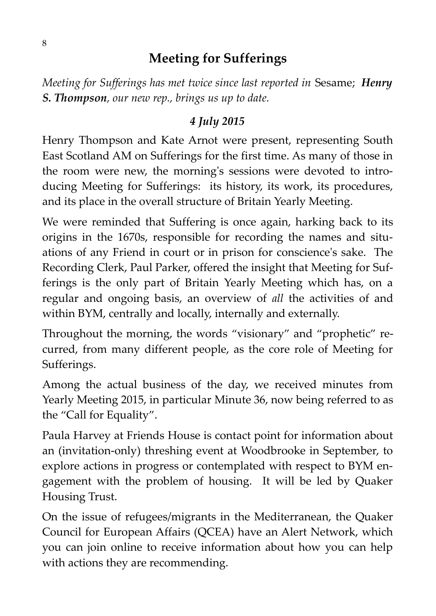## **Meeting for Sufferings**

*Meeting for Sufferings has met twice since last reported in* Sesame; *Henry S. Thompson, our new rep., brings us up to date.*

## *4 July 2015*

Henry Thompson and Kate Arnot were present, representing South East Scotland AM on Sufferings for the first time. As many of those in the room were new, the morning's sessions were devoted to introducing Meeting for Sufferings: its history, its work, its procedures, and its place in the overall structure of Britain Yearly Meeting.

We were reminded that Suffering is once again, harking back to its origins in the 1670s, responsible for recording the names and situations of any Friend in court or in prison for conscience's sake. The Recording Clerk, Paul Parker, offered the insight that Meeting for Sufferings is the only part of Britain Yearly Meeting which has, on a regular and ongoing basis, an overview of *all* the activities of and within BYM, centrally and locally, internally and externally.

Throughout the morning, the words "visionary" and "prophetic" recurred, from many different people, as the core role of Meeting for Sufferings.

Among the actual business of the day, we received minutes from Yearly Meeting 2015, in particular [Minute 36,](http://old.quaker.org.uk/sites/default/files/YM-2015-Minutes.doc) now being referred to as the "Call for Equality".

Paula Harvey at Friends House is contact point for information about an (invitation-only) threshing event at Woodbrooke in September, to explore actions in progress or contemplated with respect to BYM engagement with the problem of housing. It will be led by Quaker Housing Trust.

On the issue of refugees/migrants in the Mediterranean, the Quaker Council for European Affairs (QCEA) have an Alert Network, which you can join online to receive information about how you can help with actions they are recommending.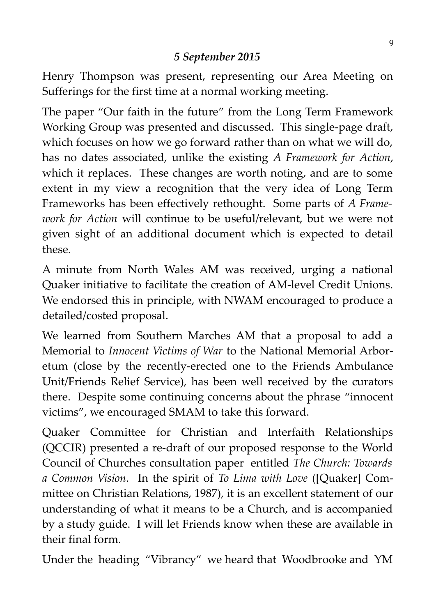## *5 September 2015*

Henry Thompson was present, representing our Area Meeting on Sufferings for the first time at a normal working meeting.

The paper "Our faith in the future" from the Long Term Framework Working Group was presented and discussed. This single-page draft, which focuses on how we go forward rather than on what we will do, has no dates associated, unlike the existing *A Framework for Action*, which it replaces. These changes are worth noting, and are to some extent in my view a recognition that the very idea of Long Term Frameworks has been effectively rethought. Some parts of *A Framework for Action* will continue to be useful/relevant, but we were not given sight of an additional document which is expected to detail these.

A minute from North Wales AM was received, urging a national Quaker initiative to facilitate the creation of AM-level Credit Unions. We endorsed this in principle, with NWAM encouraged to produce a detailed/costed proposal.

We learned from Southern Marches AM that a proposal to add a Memorial to *Innocent Victims of War* to the National Memorial Arboretum (close by the recently-erected one to the Friends Ambulance Unit/Friends Relief Service), has been well received by the curators there. Despite some continuing concerns about the phrase "innocent victims", we encouraged SMAM to take this forward.

Quaker Committee for Christian and Interfaith Relationships (QCCIR) presented a re-draft of our proposed response to the World Council of Churches consultation paper entitled *The Church: Towards a Common Vision*. In the spirit of *To Lima with Love* ([Quaker] Committee on Christian Relations, 1987), it is an excellent statement of our understanding of what it means to be a Church, and is accompanied by a study guide. I will let Friends know when these are available in their final form.

Under the heading "Vibrancy" we heard that Woodbrooke and YM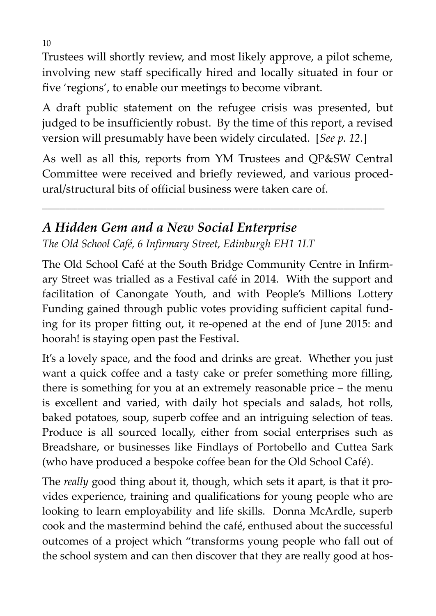Trustees will shortly review, and most likely approve, a pilot scheme, involving new staff specifically hired and locally situated in four or five 'regions', to enable our meetings to become vibrant.

A draft public statement on the refugee crisis was presented, but judged to be insufficiently robust. By the time of this report, a revised version will presumably have been widely circulated. [*See p. 12.*]

As well as all this, reports from YM Trustees and QP&SW Central Committee were received and briefly reviewed, and various procedural/structural bits of official business were taken care of.

**\_\_\_\_\_\_\_\_\_\_\_\_\_\_\_\_\_\_\_\_\_\_\_\_\_\_\_\_\_\_\_\_\_\_\_\_\_\_\_\_\_\_\_\_\_\_\_\_\_\_\_\_\_\_\_\_\_\_\_\_\_\_\_\_\_\_\_\_\_\_\_\_\_\_\_\_\_\_\_\_\_\_\_\_\_\_\_\_\_\_\_\_\_\_\_\_\_\_\_\_\_\_\_\_\_\_\_\_\_\_\_\_\_\_\_\_\_**

## *A Hidden Gem and a New Social Enterprise The Old School Café, 6 Infirmary Street, Edinburgh EH1 1LT*

The Old School Café at the South Bridge Community Centre in Infirmary Street was trialled as a Festival café in 2014. With the support and facilitation of Canongate Youth, and with People's Millions Lottery Funding gained through public votes providing sufficient capital funding for its proper fitting out, it re-opened at the end of June 2015: and hoorah! is staying open past the Festival.

It's a lovely space, and the food and drinks are great. Whether you just want a quick coffee and a tasty cake or prefer something more filling, there is something for you at an extremely reasonable price – the menu is excellent and varied, with daily hot specials and salads, hot rolls, baked potatoes, soup, superb coffee and an intriguing selection of teas. Produce is all sourced locally, either from social enterprises such as Breadshare, or businesses like Findlays of Portobello and Cuttea Sark (who have produced a bespoke coffee bean for the Old School Café).

The *really* good thing about it, though, which sets it apart, is that it provides experience, training and qualifications for young people who are looking to learn employability and life skills. Donna McArdle, superb cook and the mastermind behind the café, enthused about the successful outcomes of a project which "transforms young people who fall out of the school system and can then discover that they are really good at hos-

10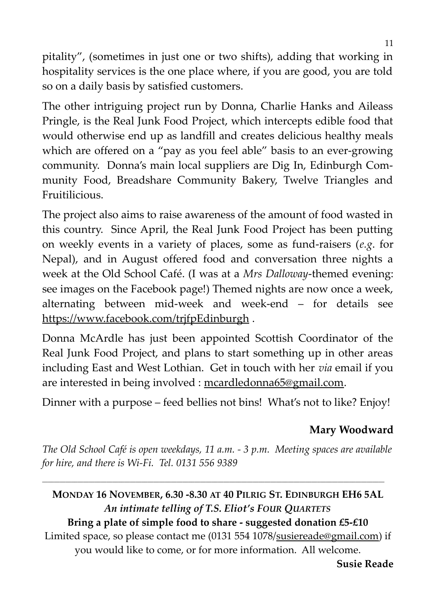pitality", (sometimes in just one or two shifts), adding that working in hospitality services is the one place where, if you are good, you are told so on a daily basis by satisfied customers.

The other intriguing project run by Donna, Charlie Hanks and Aileass Pringle, is the Real Junk Food Project, which intercepts edible food that would otherwise end up as landfill and creates delicious healthy meals which are offered on a "pay as you feel able" basis to an ever-growing community. Donna's main local suppliers are Dig In, Edinburgh Community Food, Breadshare Community Bakery, Twelve Triangles and Fruitilicious.

The project also aims to raise awareness of the amount of food wasted in this country. Since April, the Real Junk Food Project has been putting on weekly events in a variety of places, some as fund-raisers (*e.g*. for Nepal), and in August offered food and conversation three nights a week at the Old School Café. (I was at a *Mrs Dalloway*-themed evening: see images on the Facebook page!) Themed nights are now once a week, alternating between mid-week and week-end – for details see https://www.facebook.com/trjfpEdinburgh .

Donna McArdle has just been appointed Scottish Coordinator of the Real Junk Food Project, and plans to start something up in other areas including East and West Lothian. Get in touch with her *via* email if you are interested in being involved : mcardledonna65@gmail.com.

Dinner with a purpose – feed bellies not bins! What's not to like? Enjoy!

## **Mary Woodward**

*The Old School Café is open weekdays, 11 a.m. - 3 p.m. Meeting spaces are available for hire, and there is Wi-Fi. Tel. 0131 556 9389*

**\_\_\_\_\_\_\_\_\_\_\_\_\_\_\_\_\_\_\_\_\_\_\_\_\_\_\_\_\_\_\_\_\_\_\_\_\_\_\_\_\_\_\_\_\_\_\_\_\_\_\_\_\_\_\_\_\_\_\_\_\_\_\_\_\_\_\_\_\_\_\_\_\_\_\_\_\_\_\_\_\_\_\_\_\_\_\_\_\_\_\_\_\_\_\_\_\_\_\_\_\_\_\_\_\_\_\_\_\_\_\_\_\_\_\_\_\_**

# **MONDAY 16 NOVEMBER, 6.30 -8.30 AT 40 PILRIG ST. EDINBURGH EH6 5AL** *An intimate telling of T.S. Eliot's FOUR QUARTETS*

**Bring a plate of simple food to share - suggested donation £5-£10** Limited space, so please contact me (0131 554 1078/susiereade@gmail.com) if you would like to come, or for more information. All welcome. **Susie Reade**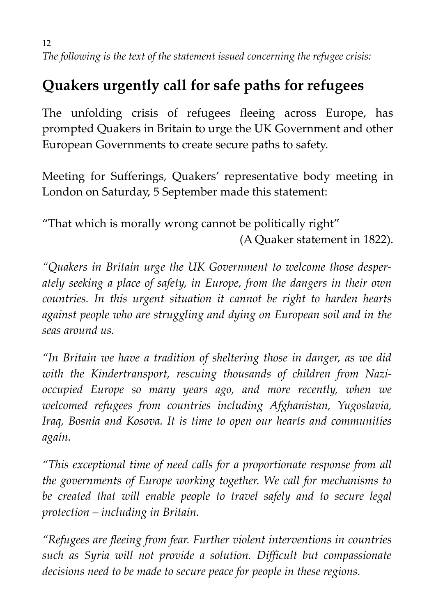12 *The following is the text of the statement issued concerning the refugee crisis:*

# **Quakers urgently call for safe paths for refugees**

The unfolding crisis of refugees fleeing across Europe, has prompted Quakers in Britain to urge the UK Government and other European Governments to create secure paths to safety.

Meeting for Sufferings, Quakers' representative body meeting in London on Saturday, 5 September made this statement:

"That which is morally wrong cannot be politically right" (A Quaker statement in 1822).

*"Quakers in Britain urge the UK Government to welcome those desperately seeking a place of safety, in Europe, from the dangers in their own countries. In this urgent situation it cannot be right to harden hearts against people who are struggling and dying on European soil and in the seas around us.*

*"In Britain we have a tradition of sheltering those in danger, as we did with the Kindertransport, rescuing thousands of children from Nazioccupied Europe so many years ago, and more recently, when we welcomed refugees from countries including Afghanistan, Yugoslavia, Iraq, Bosnia and Kosova. It is time to open our hearts and communities again.*

*"This exceptional time of need calls for a proportionate response from all the governments of Europe working together. We call for mechanisms to be created that will enable people to travel safely and to secure legal protection – including in Britain.*

*"Refugees are fleeing from fear. Further violent interventions in countries such as Syria will not provide a solution. Difficult but compassionate decisions need to be made to secure peace for people in these regions.*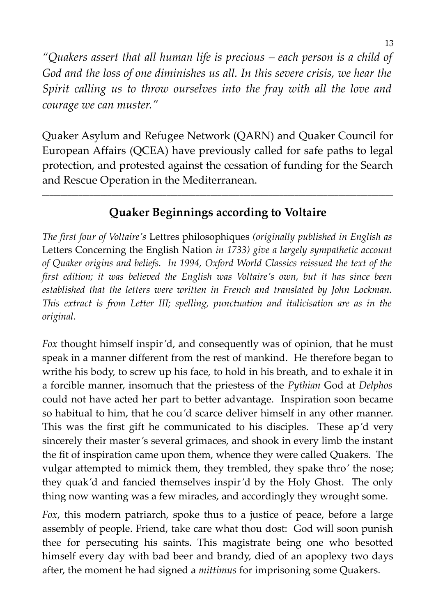*"Quakers assert that all human life is precious – each person is a child of God and the loss of one diminishes us all. In this severe crisis, we hear the Spirit calling us to throw ourselves into the fray with all the love and courage we can muster."*

Quaker Asylum and Refugee Network (QARN) and Quaker Council for European Affairs (QCEA) have previously called for safe paths to legal protection, and protested against the cessation of funding for the Search and Rescue Operation in the Mediterranean.

## **Quaker Beginnings according to Voltaire**

**\_\_\_\_\_\_\_\_\_\_\_\_\_\_\_\_\_\_\_\_\_\_\_\_\_\_\_\_\_\_\_\_\_\_\_\_\_\_\_\_\_\_\_\_\_\_\_\_\_\_\_\_\_\_\_\_\_\_\_\_\_\_\_\_\_\_\_\_\_\_\_\_\_\_\_\_\_\_\_\_\_\_\_\_\_\_\_\_\_\_\_\_\_\_\_\_**

*The first four of Voltaire's* Lettres philosophiques *(originally published in English as* Letters Concerning the English Nation *in 1733) give a largely sympathetic account of Quaker origins and beliefs. In 1994, Oxford World Classics reissued the text of the first edition; it was believed the English was Voltaire's own, but it has since been established that the letters were written in French and translated by John Lockman. This extract is from Letter III; spelling, punctuation and italicisation are as in the original.*

*Fox* thought himself inspir*'*d, and consequently was of opinion, that he must speak in a manner different from the rest of mankind. He therefore began to writhe his body, to screw up his face, to hold in his breath, and to exhale it in a forcible manner, insomuch that the priestess of the *Pythian* God at *Delphos* could not have acted her part to better advantage. Inspiration soon became so habitual to him, that he cou*'*d scarce deliver himself in any other manner. This was the first gift he communicated to his disciples. These ap*'*d very sincerely their master*'*s several grimaces, and shook in every limb the instant the fit of inspiration came upon them, whence they were called Quakers. The vulgar attempted to mimick them, they trembled, they spake thro*'* the nose; they quak*'*d and fancied themselves inspir*'*d by the Holy Ghost. The only thing now wanting was a few miracles, and accordingly they wrought some.

*Fox*, this modern patriarch, spoke thus to a justice of peace, before a large assembly of people. Friend, take care what thou dost: God will soon punish thee for persecuting his saints. This magistrate being one who besotted himself every day with bad beer and brandy, died of an apoplexy two days after, the moment he had signed a *mittimus* for imprisoning some Quakers.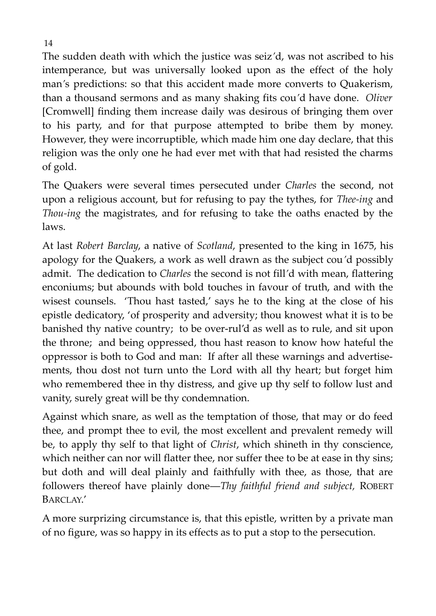The sudden death with which the justice was seiz*'*d, was not ascribed to his intemperance, but was universally looked upon as the effect of the holy man*'*s predictions: so that this accident made more converts to Quakerism, than a thousand sermons and as many shaking fits cou*'*d have done. *Oliver* [Cromwell] finding them increase daily was desirous of bringing them over to his party, and for that purpose attempted to bribe them by money. However, they were incorruptible, which made him one day declare, that this religion was the only one he had ever met with that had resisted the charms of gold.

The Quakers were several times persecuted under *Charles* the second, not upon a religious account, but for refusing to pay the tythes, for *Thee-ing* and *Thou-ing* the magistrates, and for refusing to take the oaths enacted by the laws.

At last *Robert Barclay*, a native of *Scotland*, presented to the king in 1675, his apology for the Quakers, a work as well drawn as the subject cou*'*d possibly admit. The dedication to *Charles* the second is not fill*'*d with mean, flattering enconiums; but abounds with bold touches in favour of truth, and with the wisest counsels. 'Thou hast tasted,' says he to the king at the close of his epistle dedicatory, 'of prosperity and adversity; thou knowest what it is to be banished thy native country; to be over-rul'd as well as to rule, and sit upon the throne; and being oppressed, thou hast reason to know how hateful the oppressor is both to God and man: If after all these warnings and advertisements, thou dost not turn unto the Lord with all thy heart; but forget him who remembered thee in thy distress, and give up thy self to follow lust and vanity, surely great will be thy condemnation.

Against which snare, as well as the temptation of those, that may or do feed thee, and prompt thee to evil, the most excellent and prevalent remedy will be, to apply thy self to that light of *Christ*, which shineth in thy conscience, which neither can nor will flatter thee, nor suffer thee to be at ease in thy sins; but doth and will deal plainly and faithfully with thee, as those, that are followers thereof have plainly done―*Thy faithful friend and subject,* ROBERT BARCLAY.'

A more surprizing circumstance is, that this epistle, written by a private man of no figure, was so happy in its effects as to put a stop to the persecution.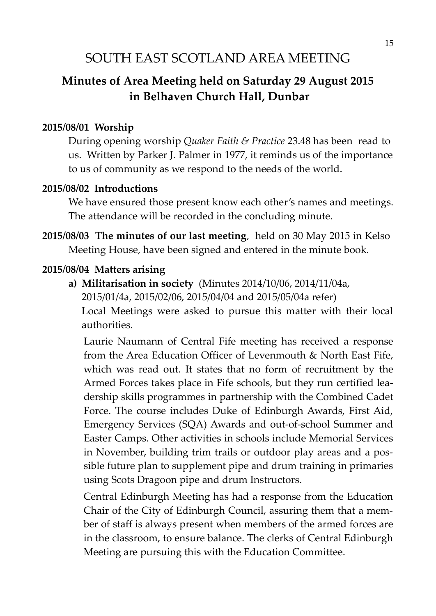## SOUTH EAST SCOTLAND AREA MEETING

## **Minutes of Area Meeting held on Saturday 29 August 2015 in Belhaven Church Hall, Dunbar**

#### **2015/08/01 Worship**

During opening worship *Quaker Faith & Practice* 23.48 has been read to us. Written by Parker J. Palmer in 1977, it reminds us of the importance to us of community as we respond to the needs of the world.

#### **2015/08/02 Introductions**

We have ensured those present know each other's names and meetings. The attendance will be recorded in the concluding minute.

**2015/08/03 The minutes of our last meeting**, held on 30 May 2015 in Kelso Meeting House, have been signed and entered in the minute book.

#### **2015/08/04 Matters arising**

**a) Militarisation in society** (Minutes 2014/10/06, 2014/11/04a, 2015/01/4a, 2015/02/06, 2015/04/04 and 2015/05/04a refer) Local Meetings were asked to pursue this matter with their local authorities.

Laurie Naumann of Central Fife meeting has received a response from the Area Education Officer of Levenmouth & North East Fife, which was read out. It states that no form of recruitment by the Armed Forces takes place in Fife schools, but they run certified leadership skills programmes in partnership with the Combined Cadet Force. The course includes Duke of Edinburgh Awards, First Aid, Emergency Services (SQA) Awards and out-of-school Summer and Easter Camps. Other activities in schools include Memorial Services in November, building trim trails or outdoor play areas and a possible future plan to supplement pipe and drum training in primaries using Scots Dragoon pipe and drum Instructors.

Central Edinburgh Meeting has had a response from the Education Chair of the City of Edinburgh Council, assuring them that a member of staff is always present when members of the armed forces are in the classroom, to ensure balance. The clerks of Central Edinburgh Meeting are pursuing this with the Education Committee.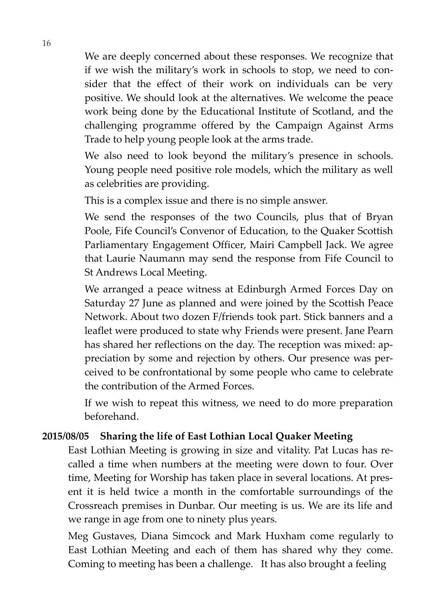We are deeply concerned about these responses. We recognize that if we wish the military's work in schools to stop, we need to consider that the effect of their work on individuals can be very positive. We should look at the alternatives. We welcome the peace work being done by the Educational Institute of Scotland, and the challenging programme offered by the Campaign Against Arms Trade to help young people look at the arms trade.

We also need to look beyond the military's presence in schools. Young people need positive role models, which the military as well as celebrities are providing.

This is a complex issue and there is no simple answer.

We send the responses of the two Councils, plus that of Bryan Poole, Fife Council's Convenor of Education, to the Quaker Scottish Parliamentary Engagement Officer, Mairi Campbell Jack. We agree that Laurie Naumann may send the response from Fife Council to St Andrews Local Meeting.

We arranged a peace witness at Edinburgh Armed Forces Day on Saturday 27 June as planned and were joined by the Scottish Peace Network. About two dozen F/friends took part. Stick banners and a leaflet were produced to state why Friends were present. Jane Pearn has shared her reflections on the day. The reception was mixed: appreciation by some and rejection by others. Our presence was perceived to be confrontational by some people who came to celebrate the contribution of the Armed Forces.

If we wish to repeat this witness, we need to do more preparation beforehand.

#### **2015/08/05 Sharing the life of East Lothian Local Quaker Meeting**

East Lothian Meeting is growing in size and vitality. Pat Lucas has recalled a time when numbers at the meeting were down to four. Over time, Meeting for Worship has taken place in several locations. At present it is held twice a month in the comfortable surroundings of the Crossreach premises in Dunbar. Our meeting is us. We are its life and we range in age from one to ninety plus years.

Meg Gustaves, Diana Simcock and Mark Huxham come regularly to East Lothian Meeting and each of them has shared why they come. Coming to meeting has been a challenge. It has also brought a feeling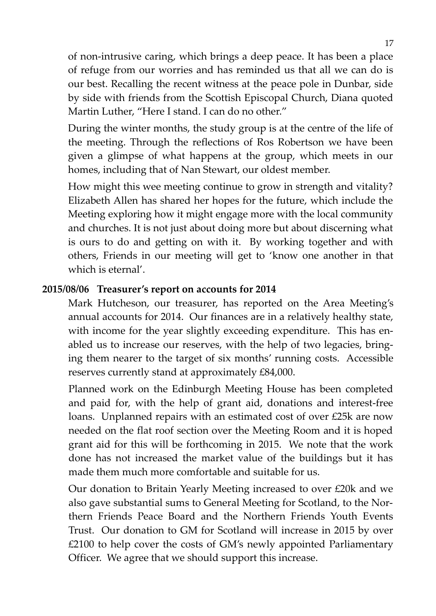of non-intrusive caring, which brings a deep peace. It has been a place of refuge from our worries and has reminded us that all we can do is our best. Recalling the recent witness at the peace pole in Dunbar, side by side with friends from the Scottish Episcopal Church, Diana quoted Martin Luther, "Here I stand. I can do no other."

During the winter months, the study group is at the centre of the life of the meeting. Through the reflections of Ros Robertson we have been given a glimpse of what happens at the group, which meets in our homes, including that of Nan Stewart, our oldest member.

How might this wee meeting continue to grow in strength and vitality? Elizabeth Allen has shared her hopes for the future, which include the Meeting exploring how it might engage more with the local community and churches. It is not just about doing more but about discerning what is ours to do and getting on with it. By working together and with others, Friends in our meeting will get to 'know one another in that which is eternal'.

#### **2015/08/06 Treasurer's report on accounts for 2014**

Mark Hutcheson, our treasurer, has reported on the Area Meeting's annual accounts for 2014. Our finances are in a relatively healthy state, with income for the year slightly exceeding expenditure. This has enabled us to increase our reserves, with the help of two legacies, bringing them nearer to the target of six months' running costs. Accessible reserves currently stand at approximately £84,000.

Planned work on the Edinburgh Meeting House has been completed and paid for, with the help of grant aid, donations and interest-free loans. Unplanned repairs with an estimated cost of over £25k are now needed on the flat roof section over the Meeting Room and it is hoped grant aid for this will be forthcoming in 2015. We note that the work done has not increased the market value of the buildings but it has made them much more comfortable and suitable for us.

Our donation to Britain Yearly Meeting increased to over £20k and we also gave substantial sums to General Meeting for Scotland, to the Northern Friends Peace Board and the Northern Friends Youth Events Trust. Our donation to GM for Scotland will increase in 2015 by over £2100 to help cover the costs of GM's newly appointed Parliamentary Officer. We agree that we should support this increase.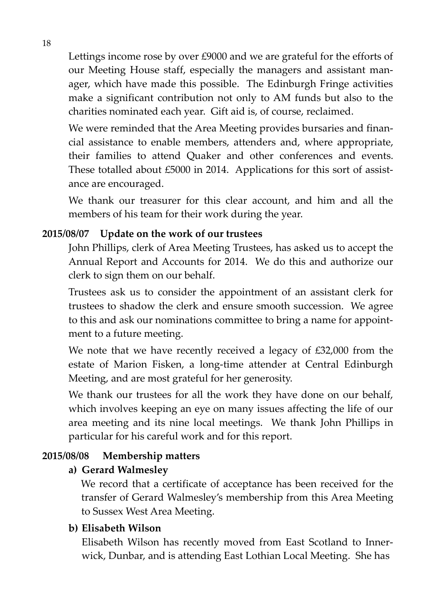Lettings income rose by over £9000 and we are grateful for the efforts of our Meeting House staff, especially the managers and assistant manager, which have made this possible. The Edinburgh Fringe activities make a significant contribution not only to AM funds but also to the charities nominated each year. Gift aid is, of course, reclaimed.

We were reminded that the Area Meeting provides bursaries and financial assistance to enable members, attenders and, where appropriate, their families to attend Quaker and other conferences and events. These totalled about £5000 in 2014. Applications for this sort of assistance are encouraged.

We thank our treasurer for this clear account, and him and all the members of his team for their work during the year.

#### **2015/08/07 Update on the work of our trustees**

John Phillips, clerk of Area Meeting Trustees, has asked us to accept the Annual Report and Accounts for 2014. We do this and authorize our clerk to sign them on our behalf.

Trustees ask us to consider the appointment of an assistant clerk for trustees to shadow the clerk and ensure smooth succession. We agree to this and ask our nominations committee to bring a name for appointment to a future meeting.

We note that we have recently received a legacy of £32,000 from the estate of Marion Fisken, a long-time attender at Central Edinburgh Meeting, and are most grateful for her generosity.

We thank our trustees for all the work they have done on our behalf, which involves keeping an eye on many issues affecting the life of our area meeting and its nine local meetings. We thank John Phillips in particular for his careful work and for this report.

#### **2015/08/08 Membership matters**

#### **a) Gerard Walmesley**

We record that a certificate of acceptance has been received for the transfer of Gerard Walmesley's membership from this Area Meeting to Sussex West Area Meeting.

#### **b) Elisabeth Wilson**

Elisabeth Wilson has recently moved from East Scotland to Innerwick, Dunbar, and is attending East Lothian Local Meeting. She has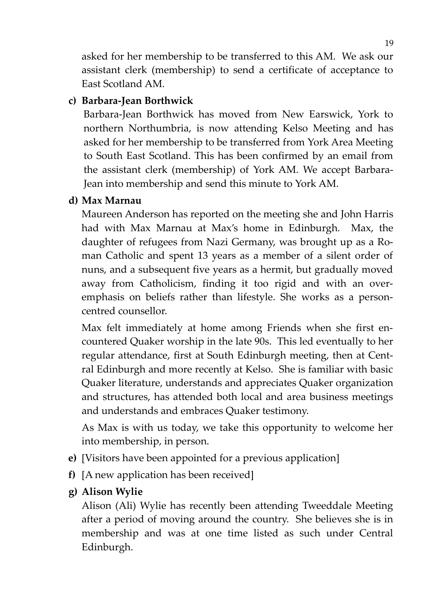asked for her membership to be transferred to this AM. We ask our assistant clerk (membership) to send a certificate of acceptance to East Scotland AM.

#### **c) Barbara-Jean Borthwick**

Barbara-Jean Borthwick has moved from New Earswick, York to northern Northumbria, is now attending Kelso Meeting and has asked for her membership to be transferred from York Area Meeting to South East Scotland. This has been confirmed by an email from the assistant clerk (membership) of York AM. We accept Barbara-Jean into membership and send this minute to York AM.

#### **d) Max Marnau**

Maureen Anderson has reported on the meeting she and John Harris had with Max Marnau at Max's home in Edinburgh. Max, the daughter of refugees from Nazi Germany, was brought up as a Roman Catholic and spent 13 years as a member of a silent order of nuns, and a subsequent five years as a hermit, but gradually moved away from Catholicism, finding it too rigid and with an overemphasis on beliefs rather than lifestyle. She works as a personcentred counsellor.

Max felt immediately at home among Friends when she first encountered Quaker worship in the late 90s. This led eventually to her regular attendance, first at South Edinburgh meeting, then at Central Edinburgh and more recently at Kelso. She is familiar with basic Quaker literature, understands and appreciates Quaker organization and structures, has attended both local and area business meetings and understands and embraces Quaker testimony.

As Max is with us today, we take this opportunity to welcome her into membership, in person.

- **e)** [Visitors have been appointed for a previous application]
- **f)** [A new application has been received]
- **g) Alison Wylie**

Alison (Ali) Wylie has recently been attending Tweeddale Meeting after a period of moving around the country. She believes she is in membership and was at one time listed as such under Central Edinburgh.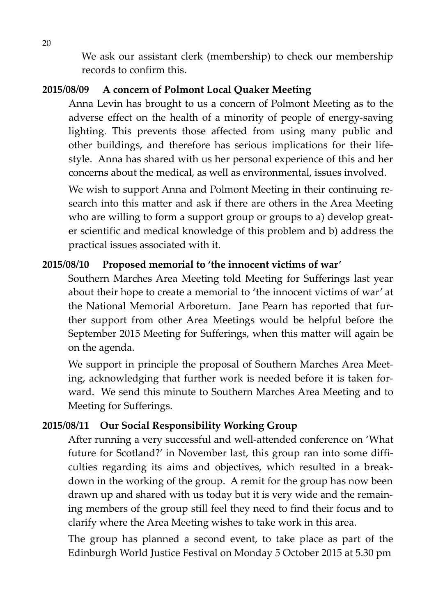We ask our assistant clerk (membership) to check our membership records to confirm this.

#### **2015/08/09 A concern of Polmont Local Quaker Meeting**

Anna Levin has brought to us a concern of Polmont Meeting as to the adverse effect on the health of a minority of people of energy-saving lighting. This prevents those affected from using many public and other buildings, and therefore has serious implications for their lifestyle. Anna has shared with us her personal experience of this and her concerns about the medical, as well as environmental, issues involved.

We wish to support Anna and Polmont Meeting in their continuing research into this matter and ask if there are others in the Area Meeting who are willing to form a support group or groups to a) develop greater scientific and medical knowledge of this problem and b) address the practical issues associated with it.

#### **2015/08/10 Proposed memorial to 'the innocent victims of war'**

Southern Marches Area Meeting told Meeting for Sufferings last year about their hope to create a memorial to 'the innocent victims of war' at the National Memorial Arboretum. Jane Pearn has reported that further support from other Area Meetings would be helpful before the September 2015 Meeting for Sufferings, when this matter will again be on the agenda.

We support in principle the proposal of Southern Marches Area Meeting, acknowledging that further work is needed before it is taken forward. We send this minute to Southern Marches Area Meeting and to Meeting for Sufferings.

#### **2015/08/11 Our Social Responsibility Working Group**

After running a very successful and well-attended conference on 'What future for Scotland?' in November last, this group ran into some difficulties regarding its aims and objectives, which resulted in a breakdown in the working of the group. A remit for the group has now been drawn up and shared with us today but it is very wide and the remaining members of the group still feel they need to find their focus and to clarify where the Area Meeting wishes to take work in this area.

The group has planned a second event, to take place as part of the Edinburgh World Justice Festival on Monday 5 October 2015 at 5.30 pm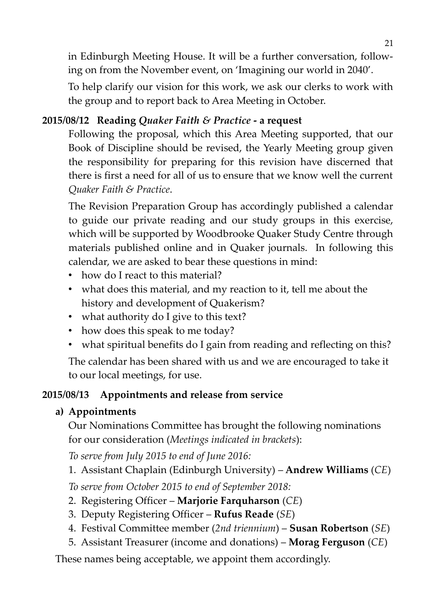in Edinburgh Meeting House. It will be a further conversation, following on from the November event, on 'Imagining our world in 2040'.

To help clarify our vision for this work, we ask our clerks to work with the group and to report back to Area Meeting in October.

#### **2015/08/12 Reading** *Quaker Faith & Practice* **- a request**

Following the proposal, which this Area Meeting supported, that our Book of Discipline should be revised, the Yearly Meeting group given the responsibility for preparing for this revision have discerned that there is first a need for all of us to ensure that we know well the current *Quaker Faith & Practice*.

The Revision Preparation Group has accordingly published a calendar to guide our private reading and our study groups in this exercise, which will be supported by Woodbrooke Quaker Study Centre through materials published online and in Quaker journals. In following this calendar, we are asked to bear these questions in mind:

- how do I react to this material?
- what does this material, and my reaction to it, tell me about the history and development of Quakerism?
- what authority do I give to this text?
- how does this speak to me today?
- what spiritual benefits do I gain from reading and reflecting on this?

The calendar has been shared with us and we are encouraged to take it to our local meetings, for use.

#### **2015/08/13 Appointments and release from service**

#### **a) Appointments**

Our Nominations Committee has brought the following nominations for our consideration (*Meetings indicated in brackets*):

*To serve from July 2015 to end of June 2016:*

1. Assistant Chaplain (Edinburgh University) – **Andrew Williams** (*CE*)

*To serve from October 2015 to end of September 2018:*

- 2. Registering Officer **Marjorie Farquharson** (*CE*)
- 3. Deputy Registering Officer **Rufus Reade** (*SE*)
- 4. Festival Committee member (*2nd triennium*) **Susan Robertson** (*SE*)
- 5. Assistant Treasurer (income and donations) **Morag Ferguson** (*CE*)

These names being acceptable, we appoint them accordingly.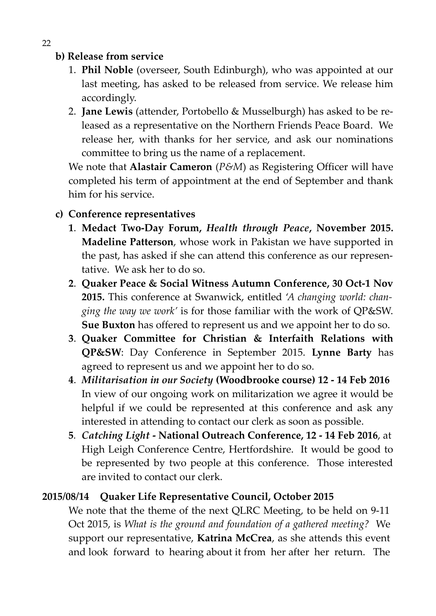#### **b) Release from service**

- 1. **Phil Noble** (overseer, South Edinburgh), who was appointed at our last meeting, has asked to be released from service. We release him accordingly.
- 2. **Jane Lewis** (attender, Portobello & Musselburgh) has asked to be released as a representative on the Northern Friends Peace Board. We release her, with thanks for her service, and ask our nominations committee to bring us the name of a replacement.

We note that **Alastair Cameron** (*P&M*) as Registering Officer will have completed his term of appointment at the end of September and thank him for his service.

#### **c) Conference representatives**

- **1**. **Medact Two-Day Forum,** *Health through Peace***, November 2015. Madeline Patterson**, whose work in Pakistan we have supported in the past, has asked if she can attend this conference as our representative. We ask her to do so.
- **2**. **Quaker Peace & Social Witness Autumn Conference, 30 Oct-1 Nov 2015.** This conference at Swanwick, entitled '*A changing world: changing the way we work'* is for those familiar with the work of QP&SW. **Sue Buxton** has offered to represent us and we appoint her to do so.
- **3**. **Quaker Committee for Christian & Interfaith Relations with QP&SW**: Day Conference in September 2015. **Lynne Barty** has agreed to represent us and we appoint her to do so.
- **4**. *Militarisation in our Society* **(Woodbrooke course) 12 14 Feb 2016** In view of our ongoing work on militarization we agree it would be helpful if we could be represented at this conference and ask any interested in attending to contact our clerk as soon as possible.
- **5***. Catching Light* **National Outreach Conference, 12 14 Feb 2016**, at High Leigh Conference Centre, Hertfordshire. It would be good to be represented by two people at this conference. Those interested are invited to contact our clerk.

#### **2015/08/14 Quaker Life Representative Council, October 2015**

We note that the theme of the next QLRC Meeting, to be held on 9-11 Oct 2015, is *What is the ground and foundation of a gathered meeting?* We support our representative, **Katrina McCrea**, as she attends this event and look forward to hearing about it from her after her return. The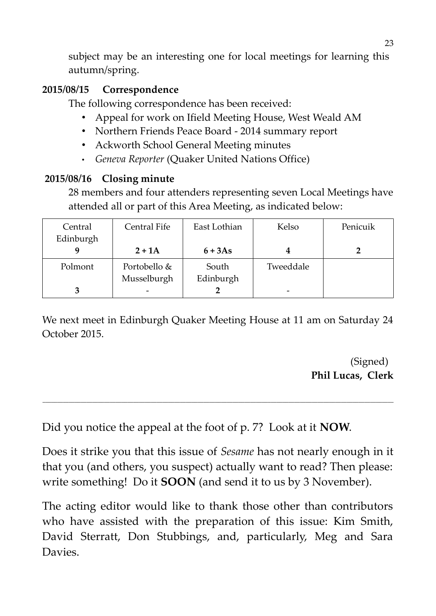subject may be an interesting one for local meetings for learning this autumn/spring.

#### **2015/08/15 Correspondence**

The following correspondence has been received:

- Appeal for work on Ifield Meeting House, West Weald AM
- Northern Friends Peace Board 2014 summary report
- Ackworth School General Meeting minutes
- *Geneva Reporter* (Quaker United Nations Office)

### **2015/08/16 Closing minute**

28 members and four attenders representing seven Local Meetings have attended all or part of this Area Meeting, as indicated below:

| Central   | Central Fife | East Lothian | Kelso     | Penicuik |
|-----------|--------------|--------------|-----------|----------|
| Edinburgh |              |              |           |          |
|           | $2 + 1A$     | $6+3As$      |           |          |
| Polmont   | Portobello & | South        | Tweeddale |          |
|           | Musselburgh  | Edinburgh    |           |          |
|           | -            |              | -         |          |

We next meet in Edinburgh Quaker Meeting House at 11 am on Saturday 24 October 2015.

> (Signed) **Phil Lucas, Clerk**

Did you notice the appeal at the foot of p. 7? Look at it **NOW**.

Does it strike you that this issue of *Sesame* has not nearly enough in it that you (and others, you suspect) actually want to read? Then please: write something! Do it **SOON** (and send it to us by 3 November).

**\_\_\_\_\_\_\_\_\_\_\_\_\_\_\_\_\_\_\_\_\_\_\_\_\_\_\_\_\_\_\_\_\_\_\_\_\_\_\_\_\_\_\_\_\_\_\_\_\_\_\_\_\_\_\_\_\_\_\_\_\_\_\_\_\_\_\_\_\_\_\_\_\_\_\_\_\_\_\_\_\_\_\_\_\_\_\_\_\_\_\_\_\_\_\_\_\_\_\_\_\_\_\_\_\_\_\_\_\_\_\_\_\_\_\_\_\_\_\_\_**

The acting editor would like to thank those other than contributors who have assisted with the preparation of this issue: Kim Smith, David Sterratt, Don Stubbings, and, particularly, Meg and Sara Davies.